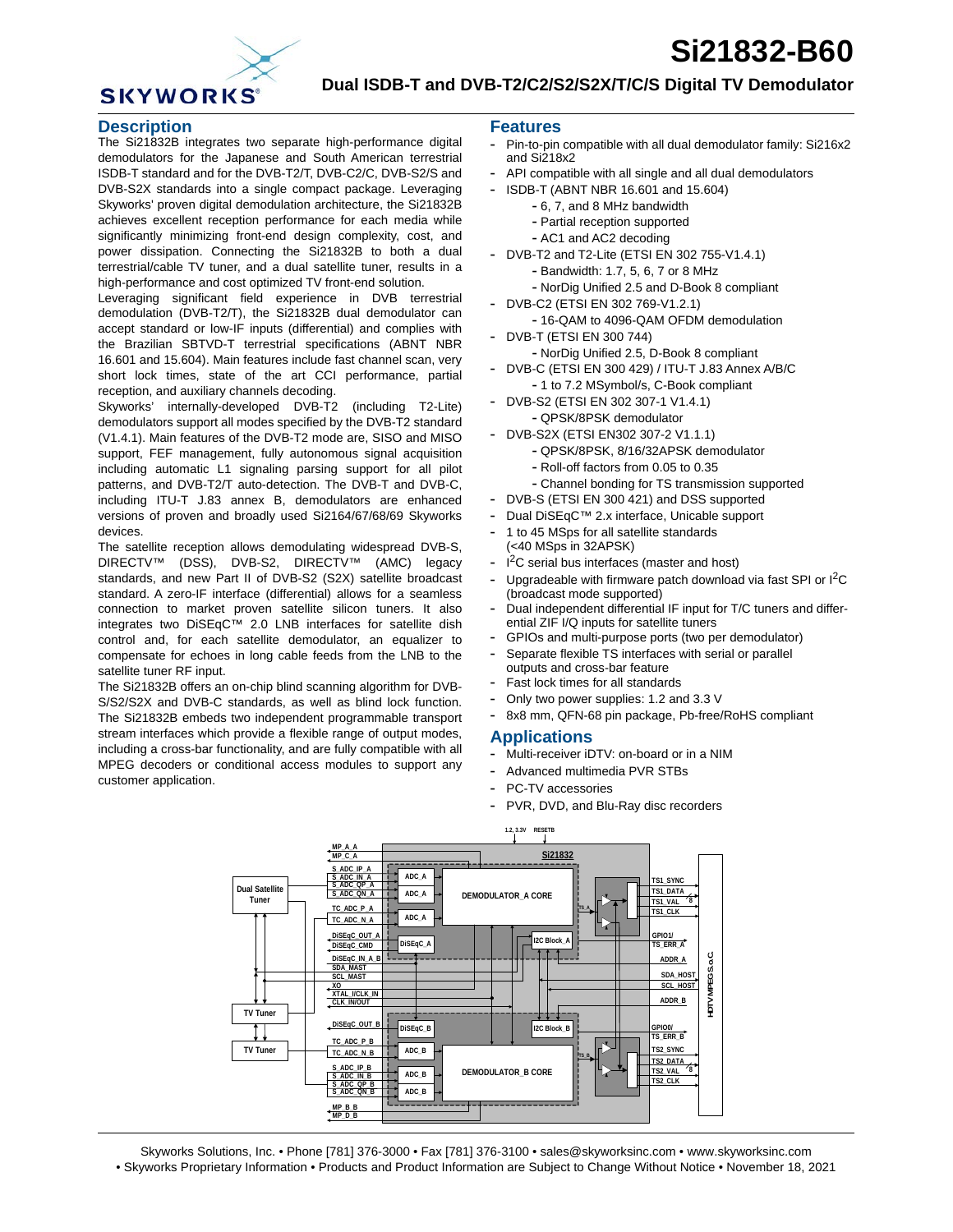# **Si21832-B60**



## **Dual ISDB-T and DVB-T2/C2/S2/S2X/T/C/S Digital TV Demodulator**

### **Description**

The Si21832B integrates two separate high-performance digital demodulators for the Japanese and South American terrestrial ISDB-T standard and for the DVB-T2/T, DVB-C2/C, DVB-S2/S and DVB-S2X standards into a single compact package. Leveraging Skyworks' proven digital demodulation architecture, the Si21832B achieves excellent reception performance for each media while significantly minimizing front-end design complexity, cost, and power dissipation. Connecting the Si21832B to both a dual terrestrial/cable TV tuner, and a dual satellite tuner, results in a high-performance and cost optimized TV front-end solution.

Leveraging significant field experience in DVB terrestrial demodulation (DVB-T2/T), the Si21832B dual demodulator can accept standard or low-IF inputs (differential) and complies with the Brazilian SBTVD-T terrestrial specifications (ABNT NBR 16.601 and 15.604). Main features include fast channel scan, very short lock times, state of the art CCI performance, partial reception, and auxiliary channels decoding.

Skyworks' internally-developed DVB-T2 (including T2-Lite) demodulators support all modes specified by the DVB-T2 standard (V1.4.1). Main features of the DVB-T2 mode are, SISO and MISO support, FEF management, fully autonomous signal acquisition including automatic L1 signaling parsing support for all pilot patterns, and DVB-T2/T auto-detection. The DVB-T and DVB-C, including ITU-T J.83 annex B, demodulators are enhanced versions of proven and broadly used Si2164/67/68/69 Skyworks devices.

The satellite reception allows demodulating widespread DVB-S, DIRECTV™ (DSS), DVB-S2, DIRECTV™ (AMC) legacy standards, and new Part II of DVB-S2 (S2X) satellite broadcast standard. A zero-IF interface (differential) allows for a seamless connection to market proven satellite silicon tuners. It also integrates two DiSEqC™ 2.0 LNB interfaces for satellite dish control and, for each satellite demodulator, an equalizer to compensate for echoes in long cable feeds from the LNB to the satellite tuner RF input.

The Si21832B offers an on-chip blind scanning algorithm for DVB-S/S2/S2X and DVB-C standards, as well as blind lock function. The Si21832B embeds two independent programmable transport stream interfaces which provide a flexible range of output modes, including a cross-bar functionality, and are fully compatible with all MPEG decoders or conditional access modules to support any customer application.

#### **Features**

- **-** Pin-to-pin compatible with all dual demodulator family: Si216x2 and Si218x2
- **-** API compatible with all single and all dual demodulators
- **-** ISDB-T (ABNT NBR 16.601 and 15.604)
	- **-** 6, 7, and 8 MHz bandwidth
	- **-** Partial reception supported
	- **-** AC1 and AC2 decoding
- **-** DVB-T2 and T2-Lite (ETSI EN 302 755-V1.4.1) **-** Bandwidth: 1.7, 5, 6, 7 or 8 MHz
	- **-** NorDig Unified 2.5 and D-Book 8 compliant
- **-** DVB-C2 (ETSI EN 302 769-V1.2.1) **-** 16-QAM to 4096-QAM OFDM demodulation
- **-** DVB-T (ETSI EN 300 744)
	- **-** NorDig Unified 2.5, D-Book 8 compliant
- **-** DVB-C (ETSI EN 300 429) / ITU-T J.83 Annex A/B/C **-** 1 to 7.2 MSymbol/s, C-Book compliant
- **-** DVB-S2 (ETSI EN 302 307-1 V1.4.1)
- **-** QPSK/8PSK demodulator
- **-** DVB-S2X (ETSI EN302 307-2 V1.1.1)
	- **-** QPSK/8PSK, 8/16/32APSK demodulator
	- **-** Roll-off factors from 0.05 to 0.35
	- **-** Channel bonding for TS transmission supported
- **-** DVB-S (ETSI EN 300 421) and DSS supported
- **-** Dual DiSEqC™ 2.x interface, Unicable support
- **-** 1 to 45 MSps for all satellite standards (<40 MSps in 32APSK)
- **-** I 2C serial bus interfaces (master and host)
- **-** Upgradeable with firmware patch download via fast SPI or I2C (broadcast mode supported)
- **-** Dual independent differential IF input for T/C tuners and differential ZIF I/Q inputs for satellite tuners
- **-** GPIOs and multi-purpose ports (two per demodulator) **-** Separate flexible TS interfaces with serial or parallel
- outputs and cross-bar feature
- **-** Fast lock times for all standards
- **-** Only two power supplies: 1.2 and 3.3 V
	- **-** 8x8 mm, QFN-68 pin package, Pb-free/RoHS compliant

#### **Applications**

- **-** Multi-receiver iDTV: on-board or in a NIM
- **-** Advanced multimedia PVR STBs
- **-** PC-TV accessories
- **-** PVR, DVD, and Blu-Ray disc recorders



Skyworks Solutions, Inc. • Phone [781] 376-3000 • Fax [781] 376-3100 • sales@skyworksinc.com • www.skyworksinc.com • Skyworks Proprietary Information • Products and Product Information are Subject to Change Without Notice • November 18, 2021